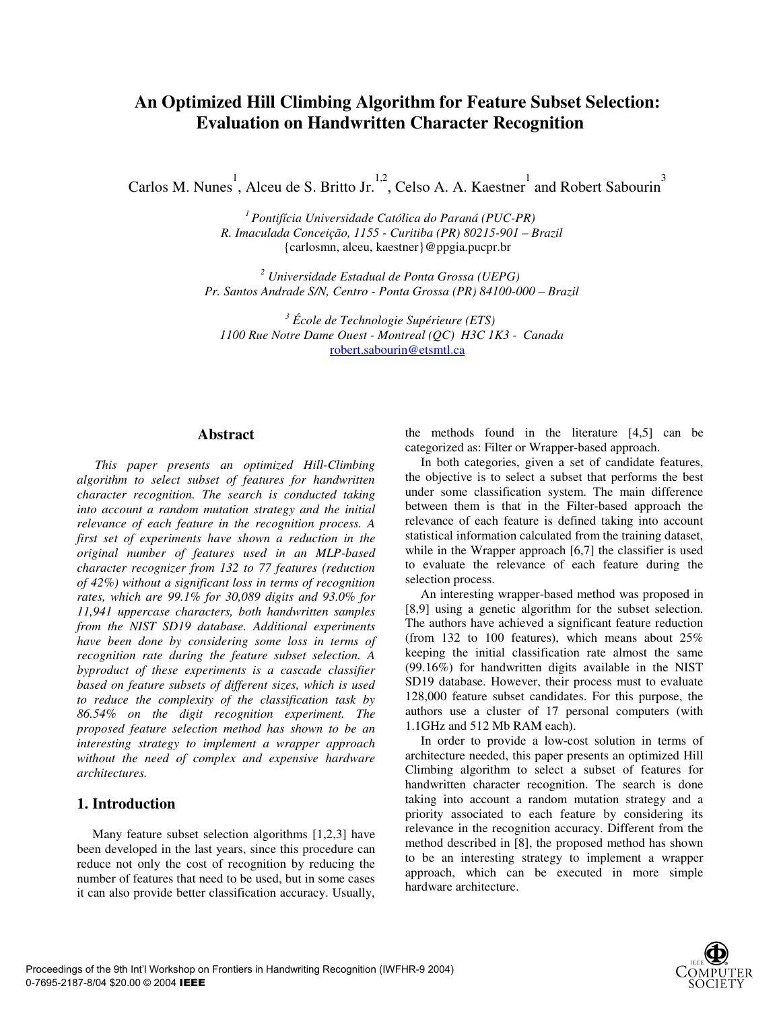# **An Optimized Hill Climbing Algorithm for Feature Subset Selection: Evaluation on Handwritten Character Recognition**

Carlos M. Nunes<sup>1</sup>, Alceu de S. Britto Jr.<sup>1,2</sup>, Celso A. A. Kaestner<sup>1</sup> and Robert Sabourin<sup>3</sup>

*1 Pontifícia Universidade Católica do Paraná (PUC-PR) R. Imaculada Conceição, 1155 - Curitiba (PR) 80215-901 – Brazil*  {carlosmn, alceu, kaestner}@ppgia.pucpr.br

*2 Universidade Estadual de Ponta Grossa (UEPG) Pr. Santos Andrade S/N, Centro - Ponta Grossa (PR) 84100-000 – Brazil* 

*3 École de Technologie Supérieure (ETS) 1100 Rue Notre Dame Ouest - Montreal (QC) H3C 1K3 - Canada*  robert.sabourin@etsmtl.ca

#### **Abstract**

*This paper presents an optimized Hill-Climbing algorithm to select subset of features for handwritten character recognition. The search is conducted taking into account a random mutation strategy and the initial relevance of each feature in the recognition process. A first set of experiments have shown a reduction in the original number of features used in an MLP-based character recognizer from 132 to 77 features (reduction of 42%) without a significant loss in terms of recognition rates, which are 99.1% for 30,089 digits and 93.0% for 11,941 uppercase characters, both handwritten samples from the NIST SD19 database. Additional experiments have been done by considering some loss in terms of recognition rate during the feature subset selection. A byproduct of these experiments is a cascade classifier based on feature subsets of different sizes, which is used to reduce the complexity of the classification task by 86.54% on the digit recognition experiment. The proposed feature selection method has shown to be an interesting strategy to implement a wrapper approach without the need of complex and expensive hardware architectures.* 

#### **1. Introduction**

Many feature subset selection algorithms [1,2,3] have been developed in the last years, since this procedure can reduce not only the cost of recognition by reducing the number of features that need to be used, but in some cases it can also provide better classification accuracy. Usually, the methods found in the literature [4,5] can be categorized as: Filter or Wrapper-based approach.

In both categories, given a set of candidate features, the objective is to select a subset that performs the best under some classification system. The main difference between them is that in the Filter-based approach the relevance of each feature is defined taking into account statistical information calculated from the training dataset, while in the Wrapper approach [6,7] the classifier is used to evaluate the relevance of each feature during the selection process.

An interesting wrapper-based method was proposed in [8,9] using a genetic algorithm for the subset selection. The authors have achieved a significant feature reduction (from 132 to 100 features), which means about 25% keeping the initial classification rate almost the same (99.16%) for handwritten digits available in the NIST SD19 database. However, their process must to evaluate 128,000 feature subset candidates. For this purpose, the authors use a cluster of 17 personal computers (with 1.1GHz and 512 Mb RAM each).

In order to provide a low-cost solution in terms of architecture needed, this paper presents an optimized Hill Climbing algorithm to select a subset of features for handwritten character recognition. The search is done taking into account a random mutation strategy and a priority associated to each feature by considering its relevance in the recognition accuracy. Different from the method described in [8], the proposed method has shown to be an interesting strategy to implement a wrapper approach, which can be executed in more simple hardware architecture.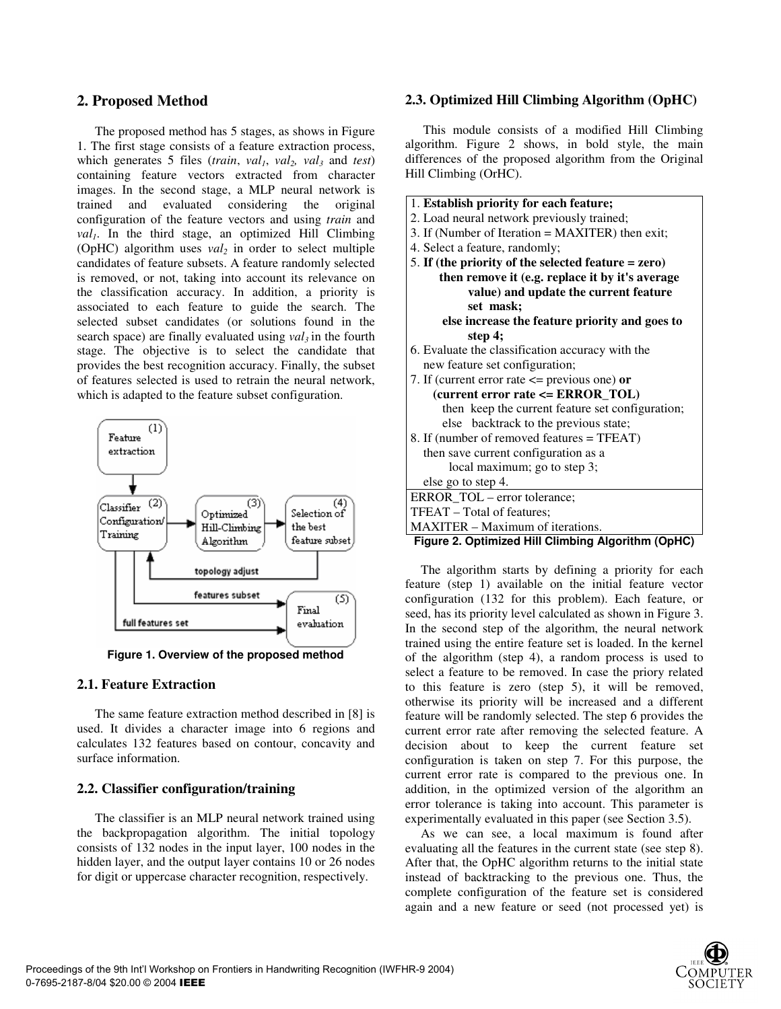# **2. Proposed Method**

The proposed method has 5 stages, as shows in Figure 1. The first stage consists of a feature extraction process, which generates 5 files (*train*,  $val_1$ ,  $val_2$ ,  $val_3$  and *test*) containing feature vectors extracted from character images. In the second stage, a MLP neural network is trained and evaluated considering the original configuration of the feature vectors and using *train* and  $val_1$ . In the third stage, an optimized Hill Climbing (OpHC) algorithm uses  $val_2$  in order to select multiple candidates of feature subsets. A feature randomly selected is removed, or not, taking into account its relevance on the classification accuracy. In addition, a priority is associated to each feature to guide the search. The selected subset candidates (or solutions found in the search space) are finally evaluated using  $val_3$  in the fourth stage. The objective is to select the candidate that provides the best recognition accuracy. Finally, the subset of features selected is used to retrain the neural network, which is adapted to the feature subset configuration.



**Figure 1. Overview of the proposed method** 

# **2.1. Feature Extraction**

The same feature extraction method described in [8] is used. It divides a character image into 6 regions and calculates 132 features based on contour, concavity and surface information.

# **2.2. Classifier configuration/training**

The classifier is an MLP neural network trained using the backpropagation algorithm. The initial topology consists of 132 nodes in the input layer, 100 nodes in the hidden layer, and the output layer contains 10 or 26 nodes for digit or uppercase character recognition, respectively.

# **2.3. Optimized Hill Climbing Algorithm (OpHC)**

This module consists of a modified Hill Climbing algorithm. Figure 2 shows, in bold style, the main differences of the proposed algorithm from the Original Hill Climbing (OrHC).

| 1. Establish priority for each feature;               |
|-------------------------------------------------------|
| 2. Load neural network previously trained;            |
| 3. If (Number of Iteration = MAXITER) then exit;      |
| 4. Select a feature, randomly;                        |
| 5. If (the priority of the selected feature $=$ zero) |
| then remove it (e.g. replace it by it's average       |
| value) and update the current feature                 |
| set mask;                                             |
| else increase the feature priority and goes to        |
| step $4$ ;                                            |
| 6. Evaluate the classification accuracy with the      |
| new feature set configuration;                        |
| 7. If (current error rate $\leq$ previous one) or     |
| (current error rate <= ERROR_TOL)                     |
| then keep the current feature set configuration;      |
| else backtrack to the previous state;                 |
| 8. If (number of removed features = TFEAT)            |
| then save current configuration as a                  |
| local maximum; go to step 3;                          |
| else go to step 4.                                    |
| ERROR_TOL - error tolerance;                          |
| TFEAT – Total of features;                            |
| MAXITER – Maximum of iterations.                      |
| Figure 2. Optimized Hill Climbing Algorithm (OpHC)    |
|                                                       |

The algorithm starts by defining a priority for each feature (step 1) available on the initial feature vector configuration (132 for this problem). Each feature, or seed, has its priority level calculated as shown in Figure 3. In the second step of the algorithm, the neural network trained using the entire feature set is loaded. In the kernel of the algorithm (step 4), a random process is used to select a feature to be removed. In case the priory related to this feature is zero (step 5), it will be removed, otherwise its priority will be increased and a different feature will be randomly selected. The step 6 provides the current error rate after removing the selected feature. A decision about to keep the current feature set configuration is taken on step 7. For this purpose, the current error rate is compared to the previous one. In addition, in the optimized version of the algorithm an error tolerance is taking into account. This parameter is experimentally evaluated in this paper (see Section 3.5).

As we can see, a local maximum is found after evaluating all the features in the current state (see step 8). After that, the OpHC algorithm returns to the initial state instead of backtracking to the previous one. Thus, the complete configuration of the feature set is considered again and a new feature or seed (not processed yet) is

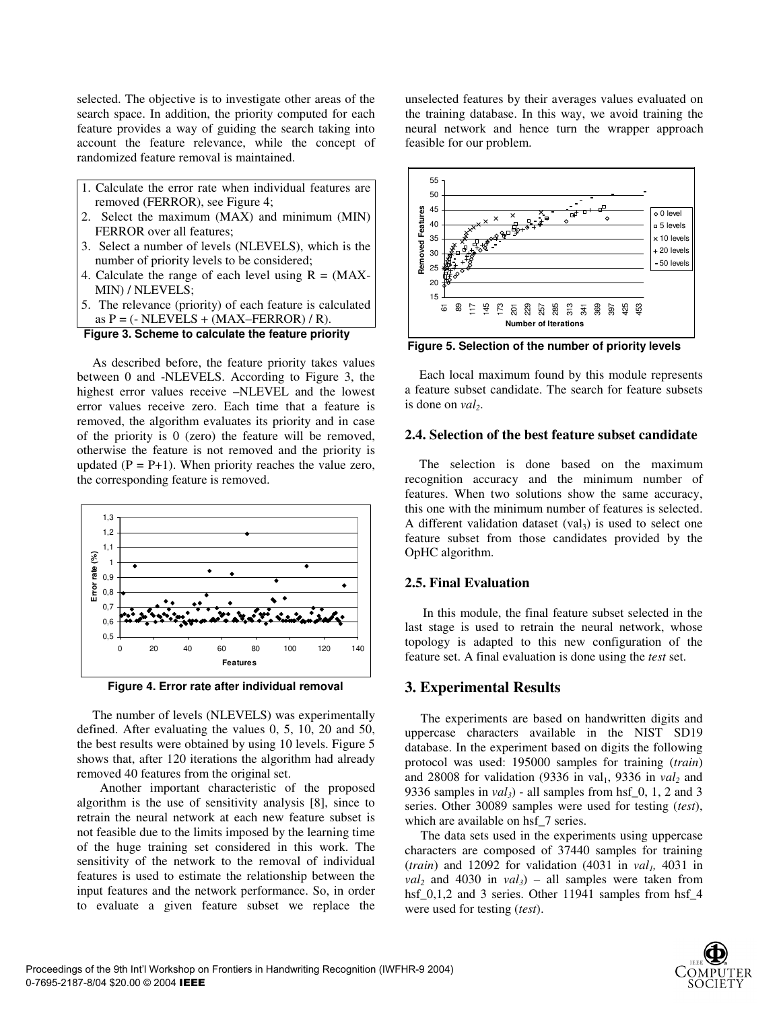selected. The objective is to investigate other areas of the search space. In addition, the priority computed for each feature provides a way of guiding the search taking into account the feature relevance, while the concept of randomized feature removal is maintained.

- 1. Calculate the error rate when individual features are removed (FERROR), see Figure 4;
- 2. Select the maximum (MAX) and minimum (MIN) FERROR over all features;
- 3. Select a number of levels (NLEVELS), which is the number of priority levels to be considered;
- 4. Calculate the range of each level using  $R = (MAX -$ MIN) / NLEVELS;
- 5. The relevance (priority) of each feature is calculated as  $P = (-NLEVELS + (MAX–FERROR) / R)$ .

```
Figure 3. Scheme to calculate the feature priority
```
As described before, the feature priority takes values between 0 and -NLEVELS. According to Figure 3, the highest error values receive –NLEVEL and the lowest error values receive zero. Each time that a feature is removed, the algorithm evaluates its priority and in case of the priority is 0 (zero) the feature will be removed, otherwise the feature is not removed and the priority is updated  $(P = P+1)$ . When priority reaches the value zero, the corresponding feature is removed.





The number of levels (NLEVELS) was experimentally defined. After evaluating the values 0, 5, 10, 20 and 50, the best results were obtained by using 10 levels. Figure 5 shows that, after 120 iterations the algorithm had already removed 40 features from the original set.

Another important characteristic of the proposed algorithm is the use of sensitivity analysis [8], since to retrain the neural network at each new feature subset is not feasible due to the limits imposed by the learning time of the huge training set considered in this work. The sensitivity of the network to the removal of individual features is used to estimate the relationship between the input features and the network performance. So, in order to evaluate a given feature subset we replace the

unselected features by their averages values evaluated on the training database. In this way, we avoid training the neural network and hence turn the wrapper approach feasible for our problem.



**Figure 5. Selection of the number of priority levels** 

Each local maximum found by this module represents a feature subset candidate. The search for feature subsets is done on *val*<sub>2</sub>.

# **2.4. Selection of the best feature subset candidate**

The selection is done based on the maximum recognition accuracy and the minimum number of features. When two solutions show the same accuracy, this one with the minimum number of features is selected. A different validation dataset  $\left( val_{3} \right)$  is used to select one feature subset from those candidates provided by the OpHC algorithm.

# **2.5. Final Evaluation**

In this module, the final feature subset selected in the last stage is used to retrain the neural network, whose topology is adapted to this new configuration of the feature set. A final evaluation is done using the *test* set.

# **3. Experimental Results**

The experiments are based on handwritten digits and uppercase characters available in the NIST SD19 database. In the experiment based on digits the following protocol was used: 195000 samples for training (*train*) and 28008 for validation (9336 in val<sub>1</sub>, 9336 in val<sub>2</sub> and 9336 samples in  $val_3$ ) - all samples from hsf<sub>1</sub>0, 1, 2 and 3 series. Other 30089 samples were used for testing (*test*), which are available on hsf\_7 series.

The data sets used in the experiments using uppercase characters are composed of 37440 samples for training  $(train)$  and 12092 for validation (4031 in  $val<sub>1</sub>$ , 4031 in  $val_2$  and 4030 in  $val_3$ ) – all samples were taken from hsf<sub>\_0</sub>,1,2 and 3 series. Other 11941 samples from hsf\_4 were used for testing (*test*).

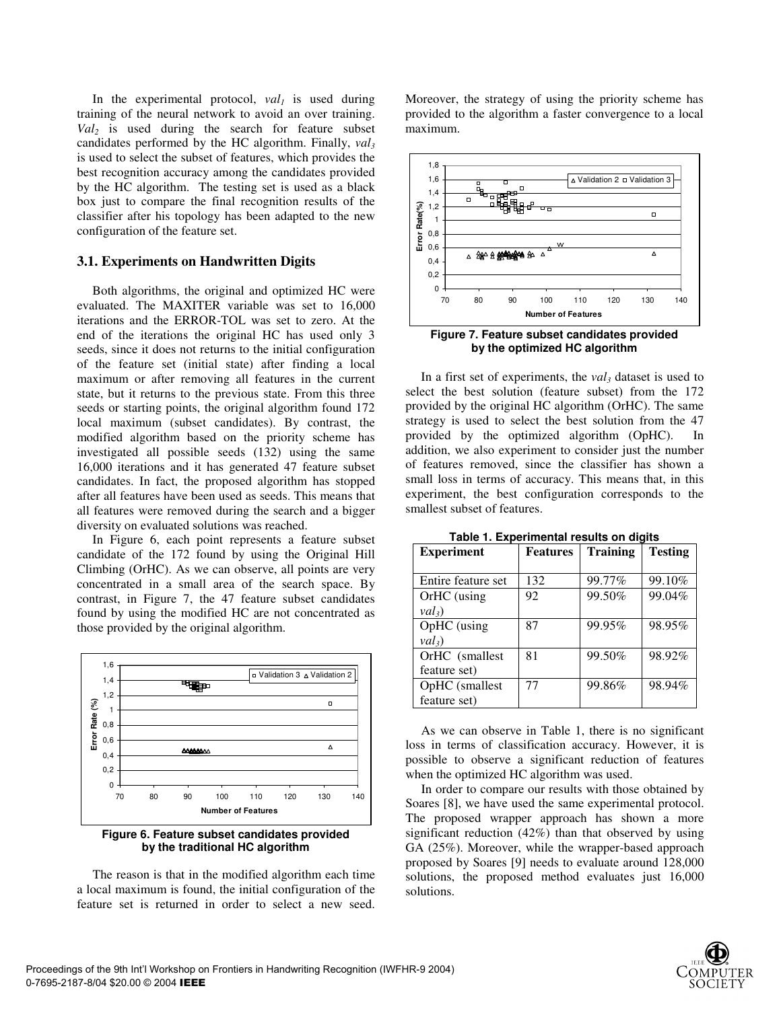In the experimental protocol,  $val<sub>I</sub>$  is used during training of the neural network to avoid an over training. *Val2* is used during the search for feature subset candidates performed by the HC algorithm. Finally,  $val_3$ is used to select the subset of features, which provides the best recognition accuracy among the candidates provided by the HC algorithm. The testing set is used as a black box just to compare the final recognition results of the classifier after his topology has been adapted to the new configuration of the feature set.

# **3.1. Experiments on Handwritten Digits**

Both algorithms, the original and optimized HC were evaluated. The MAXITER variable was set to 16,000 iterations and the ERROR-TOL was set to zero. At the end of the iterations the original HC has used only 3 seeds, since it does not returns to the initial configuration of the feature set (initial state) after finding a local maximum or after removing all features in the current state, but it returns to the previous state. From this three seeds or starting points, the original algorithm found 172 local maximum (subset candidates). By contrast, the modified algorithm based on the priority scheme has investigated all possible seeds (132) using the same 16,000 iterations and it has generated 47 feature subset candidates. In fact, the proposed algorithm has stopped after all features have been used as seeds. This means that all features were removed during the search and a bigger diversity on evaluated solutions was reached.

In Figure 6, each point represents a feature subset candidate of the 172 found by using the Original Hill Climbing (OrHC). As we can observe, all points are very concentrated in a small area of the search space. By contrast, in Figure 7, the 47 feature subset candidates found by using the modified HC are not concentrated as those provided by the original algorithm.





The reason is that in the modified algorithm each time a local maximum is found, the initial configuration of the feature set is returned in order to select a new seed.

Moreover, the strategy of using the priority scheme has provided to the algorithm a faster convergence to a local maximum.





In a first set of experiments, the *val3* dataset is used to select the best solution (feature subset) from the 172 provided by the original HC algorithm (OrHC). The same strategy is used to select the best solution from the 47 provided by the optimized algorithm (OpHC). In addition, we also experiment to consider just the number of features removed, since the classifier has shown a small loss in terms of accuracy. This means that, in this experiment, the best configuration corresponds to the smallest subset of features.

| <b>Experiment</b>  | <b>Features</b> | <b>Training</b> | <b>Testing</b> |  |
|--------------------|-----------------|-----------------|----------------|--|
|                    |                 |                 |                |  |
| Entire feature set | 132             | 99.77%          | 99.10%         |  |
| OrHC (using        | 92              | 99.50%          | 99.04%         |  |
| $val_3$            |                 |                 |                |  |
| OpHC (using        | 87              | 99.95%          | 98.95%         |  |
| val <sub>3</sub>   |                 |                 |                |  |
| OrHC (smallest     | 81              | 99.50%          | 98.92%         |  |
| feature set)       |                 |                 |                |  |
| OpHC (smallest     | 77              | 99.86%          | 98.94%         |  |
| feature set)       |                 |                 |                |  |

**Table 1. Experimental results on digits** 

As we can observe in Table 1, there is no significant loss in terms of classification accuracy. However, it is possible to observe a significant reduction of features when the optimized HC algorithm was used.

In order to compare our results with those obtained by Soares [8], we have used the same experimental protocol. The proposed wrapper approach has shown a more significant reduction (42%) than that observed by using GA (25%). Moreover, while the wrapper-based approach proposed by Soares [9] needs to evaluate around 128,000 solutions, the proposed method evaluates just 16,000 solutions.

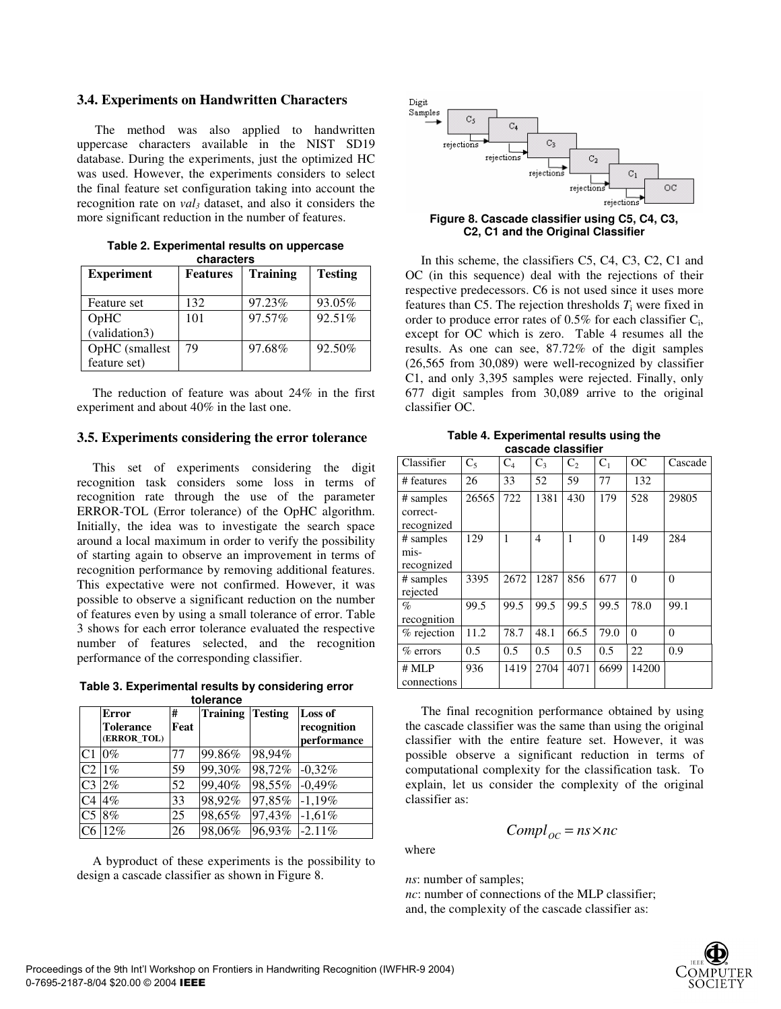#### **3.4. Experiments on Handwritten Characters**

The method was also applied to handwritten uppercase characters available in the NIST SD19 database. During the experiments, just the optimized HC was used. However, the experiments considers to select the final feature set configuration taking into account the recognition rate on *val3* dataset, and also it considers the more significant reduction in the number of features.

|            | Table 2. Experimental results on uppercase |  |  |  |  |  |  |
|------------|--------------------------------------------|--|--|--|--|--|--|
| characters |                                            |  |  |  |  |  |  |

| <b>Experiment</b> | <b>Features</b> | <b>Training</b> | <b>Testing</b> |
|-------------------|-----------------|-----------------|----------------|
| Feature set       | 132             | 97.23%          | 93.05%         |
| OpHC              | 101             | 97.57%          | 92.51%         |
| (validation3)     |                 |                 |                |
| OpHC (smallest    | 79              | 97.68%          | 92.50%         |
| feature set)      |                 |                 |                |

The reduction of feature was about 24% in the first experiment and about 40% in the last one.

#### **3.5. Experiments considering the error tolerance**

This set of experiments considering the digit recognition task considers some loss in terms of recognition rate through the use of the parameter ERROR-TOL (Error tolerance) of the OpHC algorithm. Initially, the idea was to investigate the search space around a local maximum in order to verify the possibility of starting again to observe an improvement in terms of recognition performance by removing additional features. This expectative were not confirmed. However, it was possible to observe a significant reduction on the number of features even by using a small tolerance of error. Table 3 shows for each error tolerance evaluated the respective number of features selected, and the recognition performance of the corresponding classifier.

**Table 3. Experimental results by considering error tolerance** 

|                | <b>Error</b>                    | #    | <b>Training</b> | <b>Testing</b> | Loss of                    |
|----------------|---------------------------------|------|-----------------|----------------|----------------------------|
|                | <b>Tolerance</b><br>(ERROR TOL) | Feat |                 |                | recognition<br>performance |
|                |                                 |      |                 |                |                            |
| C <sub>1</sub> | $0\%$                           | 77   | 99.86%          | 98,94%         |                            |
| C <sub>2</sub> | $1\%$                           | 59   | 99,30%          | 98,72%         | $-0,32%$                   |
| C <sub>3</sub> | $2\%$                           | 52   | 99,40%          | 98,55%         | $-0.49%$                   |
| C <sub>4</sub> | $4\%$                           | 33   | 98,92%          | 97,85%         | $-1,19\%$                  |
| C <sub>5</sub> | 8%                              | 25   | 98,65%          | 97,43%         | $-1,61\%$                  |
| C6             | 12%                             | 26   | 98,06%          | 96,93%         | $-2.11%$                   |

A byproduct of these experiments is the possibility to design a cascade classifier as shown in Figure 8.



#### **Figure 8. Cascade classifier using C5, C4, C3, C2, C1 and the Original Classifier**

In this scheme, the classifiers C5, C4, C3, C2, C1 and OC (in this sequence) deal with the rejections of their respective predecessors. C6 is not used since it uses more features than C5. The rejection thresholds  $T_i$  were fixed in order to produce error rates of  $0.5\%$  for each classifier  $C_i$ , except for OC which is zero. Table 4 resumes all the results. As one can see, 87.72% of the digit samples (26,565 from 30,089) were well-recognized by classifier C1, and only 3,395 samples were rejected. Finally, only 677 digit samples from 30,089 arrive to the original classifier OC.

**Table 4. Experimental results using the cascade classifier** 

| Classifier                          | $C_5$ | $C_4$ | $C_3$ | C <sub>2</sub> | C <sub>1</sub> | OC       | Cascade  |
|-------------------------------------|-------|-------|-------|----------------|----------------|----------|----------|
| # features                          | 26    | 33    | 52    | 59             | 77             | 132      |          |
| # samples<br>correct-<br>recognized | 26565 | 722   | 1381  | 430            | 179            | 528      | 29805    |
| # samples<br>mis-<br>recognized     | 129   | 1     | 4     | 1              | $\Omega$       | 149      | 284      |
| # samples<br>rejected               | 3395  | 2672  | 1287  | 856            | 677            | $\Omega$ | $\theta$ |
| $\%$<br>recognition                 | 99.5  | 99.5  | 99.5  | 99.5           | 99.5           | 78.0     | 99.1     |
| % rejection                         | 11.2  | 78.7  | 48.1  | 66.5           | 79.0           | $\Omega$ | $\theta$ |
| $%$ errors                          | 0.5   | 0.5   | 0.5   | 0.5            | 0.5            | 22       | 0.9      |
| $#$ MLP<br>connections              | 936   | 1419  | 2704  | 4071           | 6699           | 14200    |          |

The final recognition performance obtained by using the cascade classifier was the same than using the original classifier with the entire feature set. However, it was possible observe a significant reduction in terms of computational complexity for the classification task. To explain, let us consider the complexity of the original classifier as:

$$
Compl_{OC} = ns \times nc
$$

where

*ns*: number of samples; *nc*: number of connections of the MLP classifier; and, the complexity of the cascade classifier as: